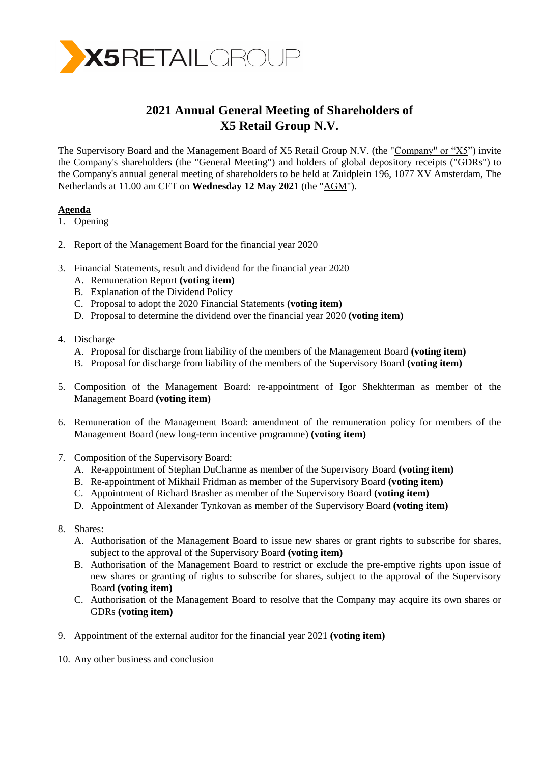

# **2021 Annual General Meeting of Shareholders of X5 Retail Group N.V.**

The Supervisory Board and the Management Board of X5 Retail Group N.V. (the "Company" or "X5") invite the Company's shareholders (the "General Meeting") and holders of global depository receipts ("GDRs") to the Company's annual general meeting of shareholders to be held at Zuidplein 196, 1077 XV Amsterdam, The Netherlands at 11.00 am CET on **Wednesday 12 May 2021** (the "AGM").

## **Agenda**

- 1. Opening
- 2. Report of the Management Board for the financial year 2020
- 3. Financial Statements, result and dividend for the financial year 2020
	- A. Remuneration Report **(voting item)**
	- B. Explanation of the Dividend Policy
	- C. Proposal to adopt the 2020 Financial Statements **(voting item)**
	- D. Proposal to determine the dividend over the financial year 2020 **(voting item)**
- 4. Discharge
	- A. Proposal for discharge from liability of the members of the Management Board **(voting item)**
	- B. Proposal for discharge from liability of the members of the Supervisory Board **(voting item)**
- 5. Composition of the Management Board: re-appointment of Igor Shekhterman as member of the Management Board **(voting item)**
- 6. Remuneration of the Management Board: amendment of the remuneration policy for members of the Management Board (new long-term incentive programme) **(voting item)**
- 7. Composition of the Supervisory Board:
	- A. Re-appointment of Stephan DuCharme as member of the Supervisory Board **(voting item)**
	- B. Re-appointment of Mikhail Fridman as member of the Supervisory Board **(voting item)**
	- C. Appointment of Richard Brasher as member of the Supervisory Board **(voting item)**
	- D. Appointment of Alexander Tynkovan as member of the Supervisory Board **(voting item)**
- 8. Shares:
	- A. Authorisation of the Management Board to issue new shares or grant rights to subscribe for shares, subject to the approval of the Supervisory Board **(voting item)**
	- B. Authorisation of the Management Board to restrict or exclude the pre-emptive rights upon issue of new shares or granting of rights to subscribe for shares, subject to the approval of the Supervisory Board **(voting item)**
	- C. Authorisation of the Management Board to resolve that the Company may acquire its own shares or GDRs **(voting item)**
- 9. Appointment of the external auditor for the financial year 2021 **(voting item)**
- 10. Any other business and conclusion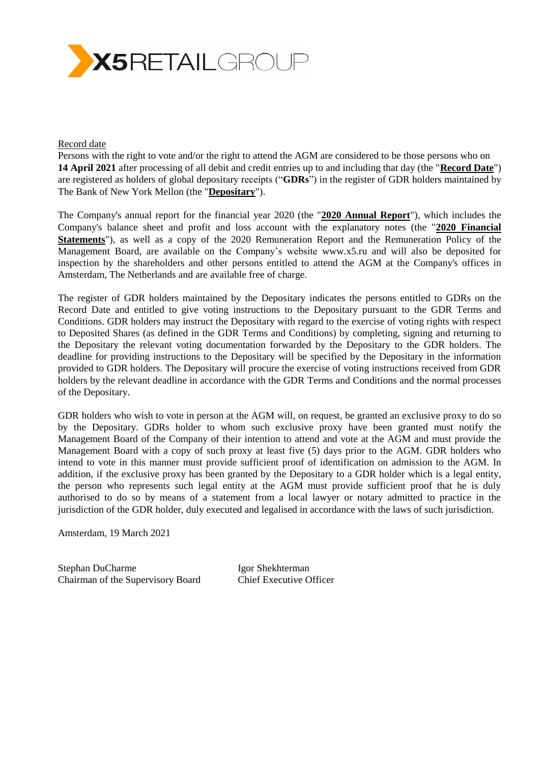

#### Record date

Persons with the right to vote and/or the right to attend the AGM are considered to be those persons who on **14 April 2021** after processing of all debit and credit entries up to and including that day (the "**Record Date**") are registered as holders of global depositary receipts ("**GDRs**") in the register of GDR holders maintained by The Bank of New York Mellon (the "**Depositary**").

The Company's annual report for the financial year 2020 (the "**2020 Annual Report**"), which includes the Company's balance sheet and profit and loss account with the explanatory notes (the "**2020 Financial Statements**"), as well as a copy of the 2020 Remuneration Report and the Remuneration Policy of the Management Board, are available on the Company's website [www.x5.ru](http://www.x5.ru/) and will also be deposited for inspection by the shareholders and other persons entitled to attend the AGM at the Company's offices in Amsterdam, The Netherlands and are available free of charge.

The register of GDR holders maintained by the Depositary indicates the persons entitled to GDRs on the Record Date and entitled to give voting instructions to the Depositary pursuant to the GDR Terms and Conditions. GDR holders may instruct the Depositary with regard to the exercise of voting rights with respect to Deposited Shares (as defined in the GDR Terms and Conditions) by completing, signing and returning to the Depositary the relevant voting documentation forwarded by the Depositary to the GDR holders. The deadline for providing instructions to the Depositary will be specified by the Depositary in the information provided to GDR holders. The Depositary will procure the exercise of voting instructions received from GDR holders by the relevant deadline in accordance with the GDR Terms and Conditions and the normal processes of the Depositary.

GDR holders who wish to vote in person at the AGM will, on request, be granted an exclusive proxy to do so by the Depositary. GDRs holder to whom such exclusive proxy have been granted must notify the Management Board of the Company of their intention to attend and vote at the AGM and must provide the Management Board with a copy of such proxy at least five (5) days prior to the AGM. GDR holders who intend to vote in this manner must provide sufficient proof of identification on admission to the AGM. In addition, if the exclusive proxy has been granted by the Depositary to a GDR holder which is a legal entity, the person who represents such legal entity at the AGM must provide sufficient proof that he is duly authorised to do so by means of a statement from a local lawyer or notary admitted to practice in the jurisdiction of the GDR holder, duly executed and legalised in accordance with the laws of such jurisdiction.

Amsterdam, 19 March 2021

Stephan DuCharme Igor Shekhterman Chairman of the Supervisory Board Chief Executive Officer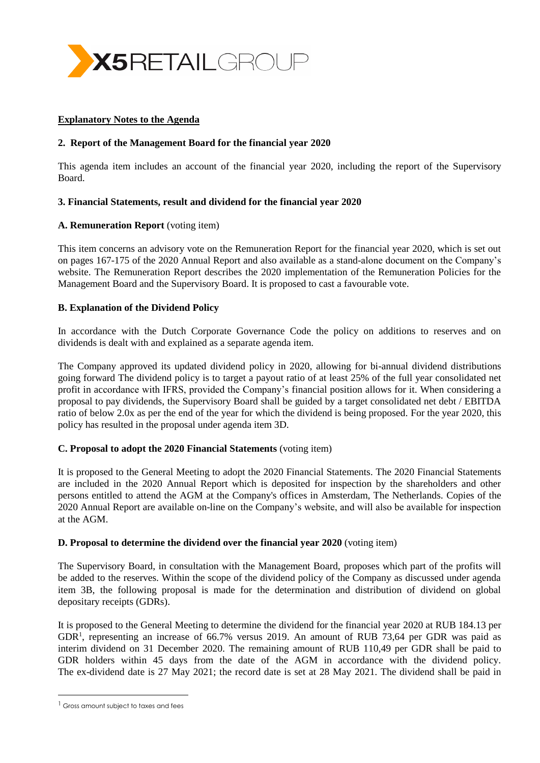

#### **Explanatory Notes to the Agenda**

#### **2. Report of the Management Board for the financial year 2020**

This agenda item includes an account of the financial year 2020, including the report of the Supervisory Board.

## **3. Financial Statements, result and dividend for the financial year 2020**

## **A. Remuneration Report** (voting item)

This item concerns an advisory vote on the Remuneration Report for the financial year 2020, which is set out on pages 167-175 of the 2020 Annual Report and also available as a stand-alone document on the Company's website. The Remuneration Report describes the 2020 implementation of the Remuneration Policies for the Management Board and the Supervisory Board. It is proposed to cast a favourable vote.

## **B. Explanation of the Dividend Policy**

In accordance with the Dutch Corporate Governance Code the policy on additions to reserves and on dividends is dealt with and explained as a separate agenda item.

The Company approved its updated dividend policy in 2020, allowing for bi-annual dividend distributions going forward The dividend policy is to target a payout ratio of at least 25% of the full year consolidated net profit in accordance with IFRS, provided the Company's financial position allows for it. When considering a proposal to pay dividends, the Supervisory Board shall be guided by a target consolidated net debt / EBITDA ratio of below 2.0x as per the end of the year for which the dividend is being proposed. For the year 2020, this policy has resulted in the proposal under agenda item 3D.

#### **C. Proposal to adopt the 2020 Financial Statements** (voting item)

It is proposed to the General Meeting to adopt the 2020 Financial Statements. The 2020 Financial Statements are included in the 2020 Annual Report which is deposited for inspection by the shareholders and other persons entitled to attend the AGM at the Company's offices in Amsterdam, The Netherlands. Copies of the 2020 Annual Report are available on-line on the Company's website, and will also be available for inspection at the AGM.

#### **D. Proposal to determine the dividend over the financial year 2020** (voting item)

The Supervisory Board, in consultation with the Management Board, proposes which part of the profits will be added to the reserves. Within the scope of the dividend policy of the Company as discussed under agenda item 3B, the following proposal is made for the determination and distribution of dividend on global depositary receipts (GDRs).

It is proposed to the General Meeting to determine the dividend for the financial year 2020 at RUB 184.13 per GDR<sup>1</sup>, representing an increase of 66.7% versus 2019. An amount of RUB 73,64 per GDR was paid as interim dividend on 31 December 2020. The remaining amount of RUB 110,49 per GDR shall be paid to GDR holders within 45 days from the date of the AGM in accordance with the dividend policy. The ex-dividend date is 27 May 2021; the record date is set at 28 May 2021. The dividend shall be paid in

 $\overline{a}$ 

<sup>&</sup>lt;sup>1</sup> Gross amount subject to taxes and fees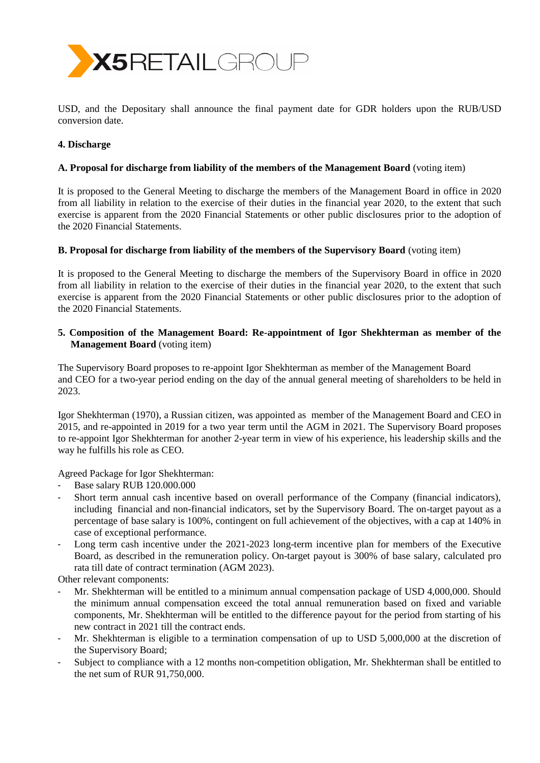

USD, and the Depositary shall announce the final payment date for GDR holders upon the RUB/USD conversion date.

## **4. Discharge**

## **A. Proposal for discharge from liability of the members of the Management Board** (voting item)

It is proposed to the General Meeting to discharge the members of the Management Board in office in 2020 from all liability in relation to the exercise of their duties in the financial year 2020, to the extent that such exercise is apparent from the 2020 Financial Statements or other public disclosures prior to the adoption of the 2020 Financial Statements.

#### **B. Proposal for discharge from liability of the members of the Supervisory Board** (voting item)

It is proposed to the General Meeting to discharge the members of the Supervisory Board in office in 2020 from all liability in relation to the exercise of their duties in the financial year 2020, to the extent that such exercise is apparent from the 2020 Financial Statements or other public disclosures prior to the adoption of the 2020 Financial Statements.

## **5. Composition of the Management Board: Re-appointment of Igor Shekhterman as member of the Management Board** (voting item)

The Supervisory Board proposes to re-appoint Igor Shekhterman as member of the Management Board and CEO for a two-year period ending on the day of the annual general meeting of shareholders to be held in 2023.

Igor Shekhterman (1970), a Russian citizen, was appointed as member of the Management Board and CEO in 2015, and re-appointed in 2019 for a two year term until the AGM in 2021. The Supervisory Board proposes to re-appoint Igor Shekhterman for another 2-year term in view of his experience, his leadership skills and the way he fulfills his role as CEO.

Agreed Package for Igor Shekhterman:

- Base salary RUB 120.000.000
- Short term annual cash incentive based on overall performance of the Company (financial indicators), including financial and non-financial indicators, set by the Supervisory Board. The on-target payout as a percentage of base salary is 100%, contingent on full achievement of the objectives, with a cap at 140% in case of exceptional performance.
- Long term cash incentive under the 2021-2023 long-term incentive plan for members of the Executive Board, as described in the remuneration policy. On-target payout is 300% of base salary, calculated pro rata till date of contract termination (AGM 2023).

Other relevant components:

- Mr. Shekhterman will be entitled to a minimum annual compensation package of USD 4,000,000. Should the minimum annual compensation exceed the total annual remuneration based on fixed and variable components, Mr. Shekhterman will be entitled to the difference payout for the period from starting of his new contract in 2021 till the contract ends.
- Mr. Shekhterman is eligible to a termination compensation of up to USD 5,000,000 at the discretion of the Supervisory Board;
- Subject to compliance with a 12 months non-competition obligation, Mr. Shekhterman shall be entitled to the net sum of RUR 91,750,000.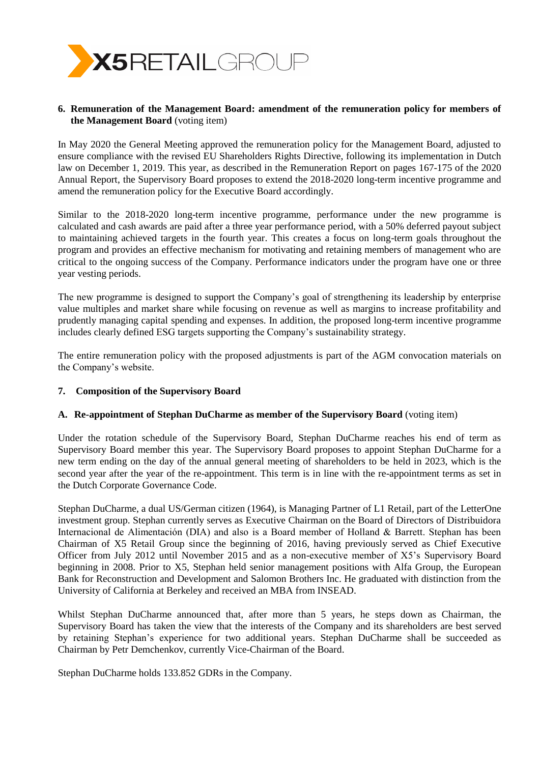

## **6. Remuneration of the Management Board: amendment of the remuneration policy for members of the Management Board** (voting item)

In May 2020 the General Meeting approved the remuneration policy for the Management Board, adjusted to ensure compliance with the revised EU Shareholders Rights Directive, following its implementation in Dutch law on December 1, 2019. This year, as described in the Remuneration Report on pages 167-175 of the 2020 Annual Report, the Supervisory Board proposes to extend the 2018-2020 long-term incentive programme and amend the remuneration policy for the Executive Board accordingly.

Similar to the 2018-2020 long-term incentive programme, performance under the new programme is calculated and cash awards are paid after a three year performance period, with a 50% deferred payout subject to maintaining achieved targets in the fourth year. This creates a focus on long-term goals throughout the program and provides an effective mechanism for motivating and retaining members of management who are critical to the ongoing success of the Company. Performance indicators under the program have one or three year vesting periods.

The new programme is designed to support the Company's goal of strengthening its leadership by enterprise value multiples and market share while focusing on revenue as well as margins to increase profitability and prudently managing capital spending and expenses. In addition, the proposed long-term incentive programme includes clearly defined ESG targets supporting the Company's sustainability strategy.

The entire remuneration policy with the proposed adjustments is part of the AGM convocation materials on the Company's website.

#### **7. Composition of the Supervisory Board**

#### **A. Re-appointment of Stephan DuCharme as member of the Supervisory Board** (voting item)

Under the rotation schedule of the Supervisory Board, Stephan DuCharme reaches his end of term as Supervisory Board member this year. The Supervisory Board proposes to appoint Stephan DuCharme for a new term ending on the day of the annual general meeting of shareholders to be held in 2023, which is the second year after the year of the re-appointment. This term is in line with the re-appointment terms as set in the Dutch Corporate Governance Code.

Stephan DuCharme, a dual US/German citizen (1964), is Managing Partner of L1 Retail, part of the LetterOne investment group. Stephan currently serves as Executive Chairman on the Board of Directors of Distribuidora Internacional de Alimentación (DIA) and also is a Board member of Holland & Barrett. Stephan has been Chairman of X5 Retail Group since the beginning of 2016, having previously served as Chief Executive Officer from July 2012 until November 2015 and as a non-executive member of X5's Supervisory Board beginning in 2008. Prior to X5, Stephan held senior management positions with Alfa Group, the European Bank for Reconstruction and Development and Salomon Brothers Inc. He graduated with distinction from the University of California at Berkeley and received an MBA from INSEAD.

Whilst Stephan DuCharme announced that, after more than 5 years, he steps down as Chairman, the Supervisory Board has taken the view that the interests of the Company and its shareholders are best served by retaining Stephan's experience for two additional years. Stephan DuCharme shall be succeeded as Chairman by Petr Demchenkov, currently Vice-Chairman of the Board.

Stephan DuCharme holds 133.852 GDRs in the Company.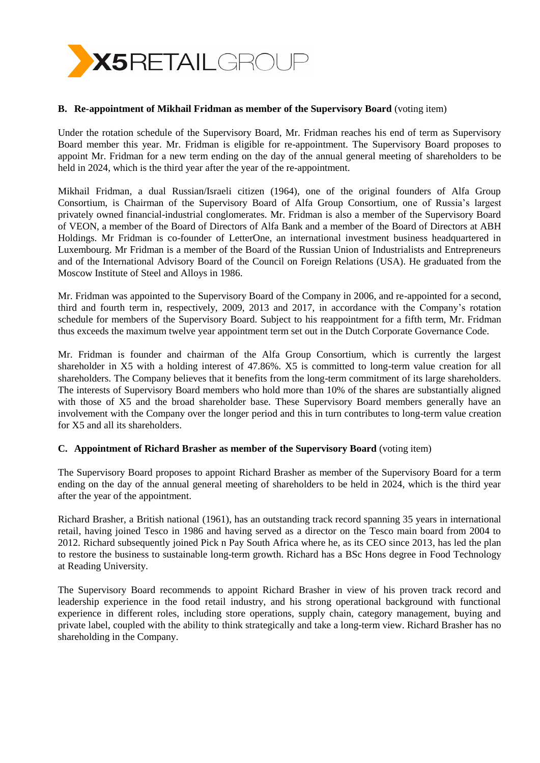

#### **B. Re-appointment of Mikhail Fridman as member of the Supervisory Board** (voting item)

Under the rotation schedule of the Supervisory Board, Mr. Fridman reaches his end of term as Supervisory Board member this year. Mr. Fridman is eligible for re-appointment. The Supervisory Board proposes to appoint Mr. Fridman for a new term ending on the day of the annual general meeting of shareholders to be held in 2024, which is the third year after the year of the re-appointment.

Mikhail Fridman, a dual Russian/Israeli citizen (1964), one of the original founders of Alfa Group Consortium, is Chairman of the Supervisory Board of Alfa Group Consortium, one of Russia's largest privately owned financial-industrial conglomerates. Mr. Fridman is also a member of the Supervisory Board of VEON, a member of the Board of Directors of Alfa Bank and а member of the Board of Directors at ABH Holdings. Mr Fridman is co-founder of LetterOne, an international investment business headquartered in Luxembourg. Mr Fridman is a member of the Board of the Russian Union of Industrialists and Entrepreneurs and of the International Advisory Board of the Council on Foreign Relations (USA). He graduated from the Moscow Institute of Steel and Alloys in 1986.

Mr. Fridman was appointed to the Supervisory Board of the Company in 2006, and re-appointed for a second, third and fourth term in, respectively, 2009, 2013 and 2017, in accordance with the Company's rotation schedule for members of the Supervisory Board. Subject to his reappointment for a fifth term, Mr. Fridman thus exceeds the maximum twelve year appointment term set out in the Dutch Corporate Governance Code.

Mr. Fridman is founder and chairman of the Alfa Group Consortium, which is currently the largest shareholder in X5 with a holding interest of 47.86%. X5 is committed to long-term value creation for all shareholders. The Company believes that it benefits from the long-term commitment of its large shareholders. The interests of Supervisory Board members who hold more than 10% of the shares are substantially aligned with those of X5 and the broad shareholder base. These Supervisory Board members generally have an involvement with the Company over the longer period and this in turn contributes to long-term value creation for X5 and all its shareholders.

#### **C. Appointment of Richard Brasher as member of the Supervisory Board** (voting item)

The Supervisory Board proposes to appoint Richard Brasher as member of the Supervisory Board for a term ending on the day of the annual general meeting of shareholders to be held in 2024, which is the third year after the year of the appointment.

Richard Brasher, a British national (1961), has an outstanding track record spanning 35 years in international retail, having joined Tesco in 1986 and having served as a director on the Tesco main board from 2004 to 2012. Richard subsequently joined Pick n Pay South Africa where he, as its CEO since 2013, has led the plan to restore the business to sustainable long-term growth. Richard has a BSc Hons degree in Food Technology at Reading University.

The Supervisory Board recommends to appoint Richard Brasher in view of his proven track record and leadership experience in the food retail industry, and his strong operational background with functional experience in different roles, including store operations, supply chain, category management, buying and private label, coupled with the ability to think strategically and take a long-term view. Richard Brasher has no shareholding in the Company.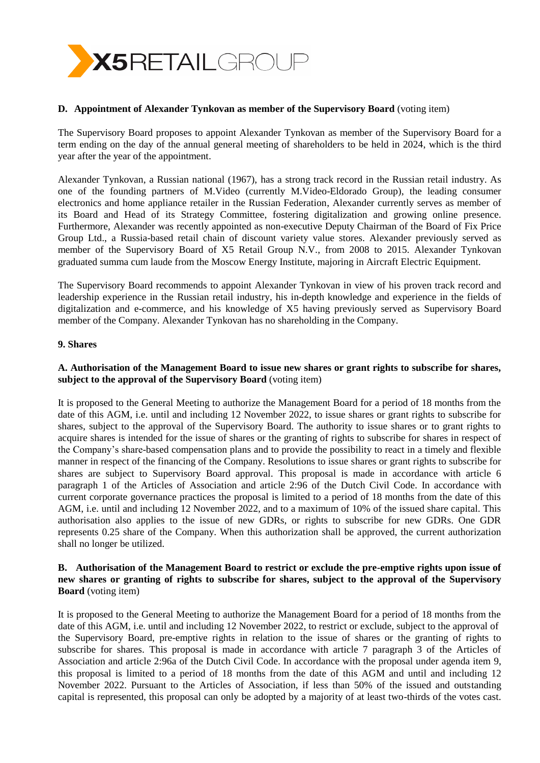

#### **D. Appointment of Alexander Tynkovan as member of the Supervisory Board** (voting item)

The Supervisory Board proposes to appoint Alexander Tynkovan as member of the Supervisory Board for a term ending on the day of the annual general meeting of shareholders to be held in 2024, which is the third year after the year of the appointment.

Alexander Tynkovan, a Russian national (1967), has a strong track record in the Russian retail industry. As one of the founding partners of M.Video (currently M.Video-Eldorado Group), the leading consumer electronics and home appliance retailer in the Russian Federation, Alexander currently serves as member of its Board and Head of its Strategy Committee, fostering digitalization and growing online presence. Furthermore, Alexander was recently appointed as non-executive Deputy Chairman of the Board of Fix Price Group Ltd., a Russia-based retail chain of discount variety value stores. Alexander previously served as member of the Supervisory Board of X5 Retail Group N.V., from 2008 to 2015. Alexander Tynkovan graduated summa cum laude from the Moscow Energy Institute, majoring in Aircraft Electric Equipment.

The Supervisory Board recommends to appoint Alexander Tynkovan in view of his proven track record and leadership experience in the Russian retail industry, his in-depth knowledge and experience in the fields of digitalization and e-commerce, and his knowledge of X5 having previously served as Supervisory Board member of the Company. Alexander Tynkovan has no shareholding in the Company.

#### **9. Shares**

## **A. Authorisation of the Management Board to issue new shares or grant rights to subscribe for shares, subject to the approval of the Supervisory Board** (voting item)

It is proposed to the General Meeting to authorize the Management Board for a period of 18 months from the date of this AGM, i.e. until and including 12 November 2022, to issue shares or grant rights to subscribe for shares, subject to the approval of the Supervisory Board. The authority to issue shares or to grant rights to acquire shares is intended for the issue of shares or the granting of rights to subscribe for shares in respect of the Company's share-based compensation plans and to provide the possibility to react in a timely and flexible manner in respect of the financing of the Company. Resolutions to issue shares or grant rights to subscribe for shares are subject to Supervisory Board approval. This proposal is made in accordance with article 6 paragraph 1 of the Articles of Association and article 2:96 of the Dutch Civil Code. In accordance with current corporate governance practices the proposal is limited to a period of 18 months from the date of this AGM, i.e. until and including 12 November 2022, and to a maximum of 10% of the issued share capital. This authorisation also applies to the issue of new GDRs, or rights to subscribe for new GDRs. One GDR represents 0.25 share of the Company. When this authorization shall be approved, the current authorization shall no longer be utilized.

#### **B. Authorisation of the Management Board to restrict or exclude the pre-emptive rights upon issue of new shares or granting of rights to subscribe for shares, subject to the approval of the Supervisory Board** (voting item)

It is proposed to the General Meeting to authorize the Management Board for a period of 18 months from the date of this AGM, i.e. until and including 12 November 2022, to restrict or exclude, subject to the approval of the Supervisory Board, pre-emptive rights in relation to the issue of shares or the granting of rights to subscribe for shares. This proposal is made in accordance with article 7 paragraph 3 of the Articles of Association and article 2:96a of the Dutch Civil Code. In accordance with the proposal under agenda item 9, this proposal is limited to a period of 18 months from the date of this AGM and until and including 12 November 2022. Pursuant to the Articles of Association, if less than 50% of the issued and outstanding capital is represented, this proposal can only be adopted by a majority of at least two-thirds of the votes cast.